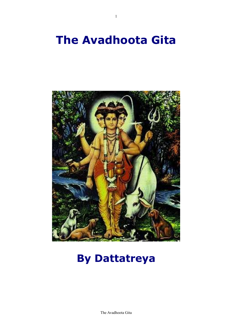# **The Avadhoota Gita**

1



## **By Dattatreya**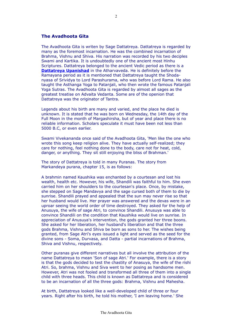#### **The Avadhoota Gita**

The Avadhoota Gita is writen by Sage Dattatreya. Dattatreya is regarded by many as the foremost incarnation. He was the combined incarnation of Brahma, Vishnu and Shiva. His narration was recorded by his two deciples Swami and Kartika. It is undoubtedly one of the ancient most Hinhu Scriptures. Dattatreya belonged to the ancient Vedic period as there is a **[Dattatreya Upanishad](http://www.astrojyoti.com/dattatreyaupanishad.htm)** in the Atharvaveda. He is definitely before the Ramayana period as it is mentioned that Dattatreya taught the Shodanyasa of Srividya to Lord Parashurama, who was before Lord Rama. He also taught the Asthanga Yoga to Patanjali, who then wrote the famous Patanjali Yoga Sutras. The Avadhoota Gita is regarded by almost all sages as the greatest treatise on Advaita Vedanta. Some are of the openion that Dattatreya was the originator of Tantra.

Legends about his birth are many and varied, and the place he died is unknown. It is stated that he was born on Wednesday, the 14th day of the Full Moon in the month of Margashirsha, but of year and place there is no reliable information. Scholars speculate it must have been not less than 5000 B.C, or even earlier.

Swami Vivekananda once said of the Avadhoota Gita, 'Men like the one who wrote this song keep religion alive. They have actually self-realized; they care for nothing, feel nothing done to the body, care not for heat, cold, danger, or anything. They sit still enjoying the bliss of Brahman.'

The story of Dattatreya is told in many Puranas. The story from Markandeya purana, chapter 15, is as follows:

A brahmin named Kaushika was enchanted by a courtesan and lost his wealth, health etc. However, his wife, Shandili was faithful to him. She even carried him on her shoulders to the courtesan's place. Once, by mistake, she stepped on Sage Mandavya and the sage cursed both of them to die by sunrise. Shandili prayed and appealed that the sun may never rise so that her husband would live. Her prayer was answered and the devas were in an uproar seeing the world order of time destroyed. They asked for the help of Anusuya, the wife of sage Atri, to convince Shandili. Anusuya was able to convince Shandili on the condition that Kaushika would live on sunrise. In appreciation of Anusuya's intervention, the gods granted her three boons. She asked for her liberation, her husband's liberation and that the three gods Brahma, Vishnu and Shiva be born as sons to her. The wishes being granted, from Sage Atri's eyes issued a light and served as the seed for the divine sons - Soma, Durvasa, and Datta - partial incarnations of Brahma, Shiva and Vishnu, respectively.

Other puranas give different narratives but all involve the attribution of the name Dattatreya to mean 'Son of sage Atri.' For example, there is a story is that the gods decided to test the chastity of Anasuya, the wife of the rishi Atri. So, brahma, Vishnu and Siva went to her posing as handsome men. However, Atri was not fooled and transformed all three of them into a single child with three heads. This child is known as Dattatreya and is considered to be an incarnation of all the three gods: Brahma, Vishnu and Mahesha.

At birth, Dattatreya looked like a well-developed child of three or four years. Right after his birth, he told his mother, 'I am leaving home.' She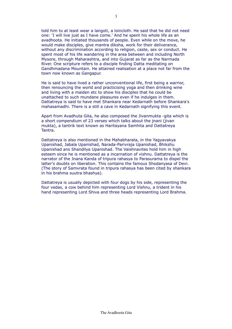told him to at least wear a langoti, a loincloth. He said that he did not need one: 'I will live just as I have come.' And he spent his whole life as an avadhoota. He initiated thousands of people. Even while on the move, he would make disciples, give mantra diksha, work for their deliverance, without any discrimination according to religion, caste, sex or conduct. He spent most of his life wandering in the area between and including North Mysore, through Maharashtra, and into Gujarat as far as the Narmada River. One scripture refers to a disciple finding Datta meditating on Gandhmadana Mountain. He attained realisation at a place not far from the town now known as Gangapur.

He is said to have lived a rather unconventional life, first being a warrior, then renouncing the world and practicising yoga and then drinking wine and living with a maiden etc to show his disciples that he could be unattached to such mundane pleasures even if he indulges in them. Dattatreya is said to have met Shankara near Kedarnath before Shankara's mahasamadhi. There is a still a cave in Kedarnath signifying this event.

Apart from Avadhuta Gita, he also composed the Jivanmukta -gita which is a short compendium of 23 verses which talks about the inani (jivan mukta), a tantrik text known as Haritayana Samhita and Dattatreya Tantra.

Dattatreya is also mentioned in the Mahabharata, in the Yagyavakya Upanishad, Jabala Upanishad, Narada-Parivraja Upanishad, Bhikshu Upanishad ans Shandilya Upanishad. The Vaishnavites hold him in high esteem since he is mentioned as a incarnation of vishnu. Dattatreya is the narrator of the Jnana Kanda of tripura rahasya to Parasurama to dispel the latter's doubts on liberation. This contains the famous Shodanyasa of Devi. (The story of Samvrata found in tripura rahasya has been cited by shankara in his brahma suutra bhashya).

Dattatreya is usually depicted with four dogs by his side, representing the four vedas, a cow behind him representing Lord Vishnu, a trident in his hand representing Lord Shiva and three heads representing Lord Brahma.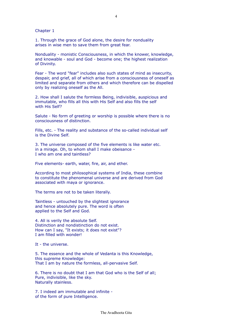Chapter 1

1. Through the grace of God alone, the desire for nonduality arises in wise men to save them from great fear.

Nonduality - monistic Consciousness, in which the knower, knowledge, and knowable - soul and God - become one; the highest realization of Divinity.

Fear - The word "fear" includes also such states of mind as insecurity, despair, and grief, all of which arise from a consciousness of oneself as limited and separate from others and which therefore can be dispelled only by realizing oneself as the All.

2. How shall I salute the formless Being, indivisible, auspicious and immutable, who fills all this with His Self and also fills the self with His Self?

Salute - No form of greeting or worship is possible where there is no consciousness of distinction.

Fills, etc. - The reality and substance of the so-called individual self is the Divine Self.

3. The universe composed of the five elements is like water etc. in a mirage. Oh, to whom shall I make obeisance - I who am one and taintless?

Five elements- earth, water, fire, air, and ether.

According to most philosophical systems of India, these combine to constitute the phenomenal universe and are derived from God associated with maya or ignorance.

The terms are not to be taken literally.

Taintless - untouched by the slightest ignorance and hence absolutely pure. The word is often applied to the Self and God.

4. All is verily the absolute Self. Distinction and nondistinction do not exist. How can I say, "It exists; it does not exist"? I am filled with wonder!

It - the universe.

5. The essence and the whole of Vedanta is this Knowledge, this supreme Knowledge: That I am by nature the formless, all-pervasive Self.

6. There is no doubt that I am that God who is the Self of all; Pure, indivisible, like the sky. Naturally stainless.

7. I indeed am immutable and infinite of the form of pure Intelligence.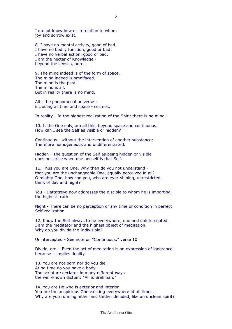I do not know how or in relation to whom joy and sorrow exist.

8. I have no mental activity, good of bad; I have no bodily function, good or bad; I have no verbal action, good or bad. I am the nectar of Knowledge beyond the senses, pure.

9. The mind indeed is of the form of space. The mind indeed is omnifaced. The mind is the past. The mind is all. But in reality there is no mind.

All - the phenomenal universe including all time and space - cosmos.

In reality - In the highest realization of the Spirit there is no mind.

10. I, the One only, am all this, beyond space and continuous. How can I see the Self as visible or hidden?

Continuous - without the intervention of another substance; Therefore homogeneous and undifferentiated.

Hidden - The question of the Self as being hidden or visible does not arise when one oneself is that Self.

11. Thus you are One. Why then do you not understand that you are the unchangeable One, equally perceived in all? O mighty One, how can you, who are ever-shining, unrestricted, think of day and night?

You - Dattatreya now addresses the disciple to whom he is imparting the highest truth.

Night - There can be no perception of any time or condition in perfect Self-realization.

12. Know the Self always to be everywhere, one and unintercepted. I am the meditator and the highest object of meditation. Why do you divide the Indivisible?

Unintercepted - See note on "Continuous," verse 10.

Divide, etc. - Even the act of meditation is an expression of ignorance because it implies duality.

13. You are not born nor do you die. At no time do you have a body. The scripture declares in many different ways the well-known dictum: "All is Brahman."

14. You are He who is exterior and interior. You are the auspicious One existing everywhere at all times. Why are you running hither and thither deluded, like an unclean spirit?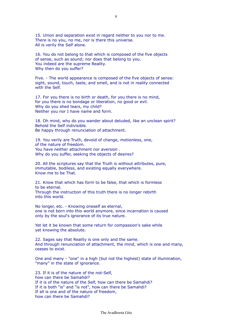15. Union and separation exist in regard neither to you nor to me. There is no you, no me, nor is there this universe. All is verily the Self alone.

16. You do not belong to that which is composed of the five objects of sense, such as sound; nor does that belong to you. You indeed are the supreme Reality. Why then do you suffer?

Five. - The world appearance is composed of the five objects of sense: sight, sound, touch, taste, and smell, and is not in reality connected with the Self.

17. For you there is no birth or death, for you there is no mind, for you there is no bondage or liberation, no good or evil. Why do you shed tears, my child? Neither you nor I have name and form.

18. Oh mind, why do you wander about deluded, like an unclean spirit? Behold the Self indivisible. Be happy through renunciation of attachment.

19. You verily are Truth, devoid of change, motionless, one, of the nature of freedom. You have neither attachment nor aversion . Why do you suffer, seeking the objects of desires?

20. All the scriptures say that the Truth is without attributes, pure, immutable, bodiless, and existing equally everywhere. Know me to be That.

21. Know that which has form to be false, that which is formless to be eternal. Through the instruction of this truth there is no longer rebirth into this world.

No longer, etc. - Knowing oneself as eternal, one is not born into this world anymore, since incarnation is caused only by the soul's ignorance of its true nature.

Yet let it be known that some return for compassion's sake while yet knowing the absolute.

22. Sages say that Reality is one only and the same. And through renunciation of attachment, the mind, which is one and many, ceases to exist.

One and many - "one" in a high (but not the highest) state of illumination, "many" in the state of ignorance.

23. If it is of the nature of the not-Self, how can there be Samahdi? If it is of the nature of the Self, how can there be Samahdi? If it is both "is" and "is not", how can there be Samahdi? If all is one and of the nature of freedom, how can there be Samahdi?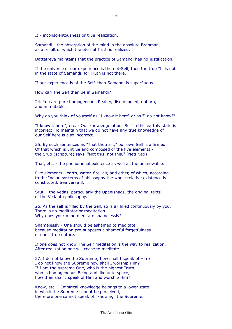It - inconscientousness or true realization.

Samahdi - the absorption of the mind in the absolute Brahman, as a result of which the eternal Truth is realized.

Dattatreya maintains that the practice of Samahdi has no justification.

If the universe of our experience is the not-Self, then the true "I" is not in the state of Samahdi, for Truth is not there.

If our experience is of the Self, then Samahdi is superfluous.

How can The Self then be in Samahdi?

24. You are pure homogeneous Reality, disembodied, unborn, and immutable.

Why do you think of yourself as "I know it here" or as "I do not know"?

"I know it here", etc. - Our knowledge of our Self in this earthly state is incorrect. To maintain that we do not have any true knowledge of our Self here is also incorrect.

25. By such sentences as "That thou art," our own Self is affirmed. Of that which is untrue and composed of the five elements the Sruti (scripture) says, "Not this, not this." (Neti Neti)

That, etc. - the phenomenal existence as well as the unknowable.

Five elements - earth, water, fire, air, and ether, of which, according to the Indian systems of philosophy the whole relative existence is constituted. See verse 3.

Sruti - the Vedas, particularly the Upanishads, the original texts of the Vedanta philosophy.

26. As the self is filled by the Self, so is all filled continuously by you. There is no meditator or meditation. Why does your mind meditate shamelessly?

Shamelessly - One should be ashamed to meditate, because meditation pre-supposes a shameful forgetfulness of one's true nature.

If one does not know The Self meditation is the way to realization. After realization one will cease to meditate.

27. I do not know the Supreme; how shall I speak of Him? I do not know the Supreme how shall I worship Him? If I am the supreme One, who is the highest Truth, who is homogeneous Being and like unto space, how then shall I speak of Him and worship Him?

Know, etc. - Empirical knowledge belongs to a lower state in which the Supreme cannot be perceived; therefore one cannot speak of "knowing" the Supreme.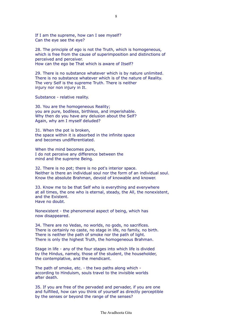If I am the supreme, how can I see myself? Can the eye see the eye?

28. The principle of ego is not the Truth, which is homogeneous, which is free from the cause of superimposition and distinctions of perceived and perceiver. How can the ego be That which is aware of Itself?

29. There is no substance whatever which is by nature unlimited. There is no substance whatever which is of the nature of Reality. The very Self is the supreme Truth. There is neither injury nor non injury in It.

Substance - relative reality.

30. You are the homogeneous Reality; you are pure, bodiless, birthless, and imperishable. Why then do you have any delusion about the Self? Again, why am I myself deluded?

31. When the pot is broken, the space within it is absorbed in the infinite space and becomes undifferentiated.

When the mind becomes pure, I do not perceive any difference between the mind and the supreme Being.

32. There is no pot; there is no pot's interior space. Neither is there an individual soul nor the form of an individual soul. Know the absolute Brahman, devoid of knowable and knower.

33. Know me to be that Self who is everything and everywhere at all times, the one who is eternal, steady, the All, the nonexistent, and the Existent. Have no doubt.

Nonexistent - the phenomenal aspect of being, which has now disappeared.

34. There are no Vedas, no worlds, no gods, no sacrifices. There is certainly no caste, no stage in life, no family, no birth. There is neither the path of smoke nor the path of light. There is only the highest Truth, the homogeneous Brahman.

Stage in life - any of the four stages into which life is divided by the Hindus, namely, those of the student, the householder, the contemplative, and the mendicant.

The path of smoke, etc. - the two paths along which according to Hinduism, souls travel to the invisible worlds after death.

35. If you are free of the pervaded and pervader, if you are one and fulfilled, how can you think of yourself as directly perceptible by the senses or beyond the range of the senses?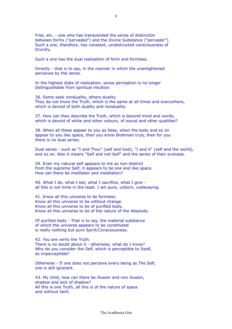Free, etc. - one who has transcended the sense of distinction between forms ("pervaded") and the Divine Substance ("pervader"). Such a one, therefore, has constant, unobstructed consciousness of Divinity.

Such a one has the dual realization of form and formless.

Directly - that is to say, in the manner in which the unenlightened perceives by the sense.

In the highest state of realization, sense perception is no longer distinguishable from spiritual intuition.

36. Some seek nonduality, others duality. They do not know the Truth, which is the same at all times and everywhere, which is devoid of both duality and nonduality.

37. How can they describe the Truth, which is beyond mind and words, which is devoid of white and other colours, of sound and other qualities?

38. When all these appear to you as false, when the body and so on appear to you like space, then you know Brahman truly, then for you there is no dual series.

Dual series - such as "I and Thou" (self and God), "I and it" (self and the world), and so on. Also it means "Self and not-Self" and the series of their evolutes.

39. Even my natural self appears to me as non-distinct from the supreme Self; it appears to be one and like space. How can there be meditator and meditation?

40. What I do, what I eat, what I sacrifice, what I give all this is not mine in the least. I am pure, unborn, undecaying.

41. Know all this universe to be formless. Know all this universe to be without change. Know all this universe to be of purified body. Know all this universe to be of the nature of the Absolute.

Of purified body - That is to say, the material substance of which the universe appears to be constituted is really nothing but pure Spirit/Consciousness.

42. You are verily the Truth. There is no doubt about it - otherwise, what do I know? Why do you consider the Self, which is perceptible to Itself, as imperceptible?

Otherwise - If one does not perceive every being as The Self, one is still ignorant.

43. My child, how can there be illusion and non illusion, shadow and lack of shadow? All this is one Truth, all this is of the nature of space and without taint.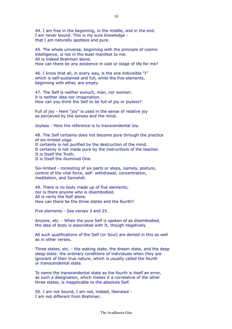44. I am free in the beginning, in the middle, and in the end. I am never bound. This is my sure knowledge that I am naturally spotless and pure.

45. The whole universe, beginning with the principle of cosmic intelligence, is not in the least manifest to me. All is indeed Brahman alone. How can there be any existence in cast or stage of life for me?

46. I know that all, in every way, is the one indivisible "I" which is self-sustained and full, while the five elements, beginning with ether, are empty.

47. The Self is neither eunuch, man, nor woman: it is neither idea nor imagination. How can you think the Self to be full of joy or joyless?

Full of joy - Here "joy" is used in the sense of relative joy as perceived by the senses and the mind.

Joyless - Here the reference is to transcendental Joy.

48. The Self certainly does not become pure through the practice of six-limbed yoga. It certainly is not purified by the destruction of the mind. It certainly is not made pure by the instructions of the teacher. It is Itself the Truth. It is Itself the illumined One.

Six-limbed - consisting of six parts or steps, namely, posture, control of the vital force, self- withdrawal, concentration, meditation, and Samahdi.

49. There is no body made up of five elements; nor is there anyone who is disembodied. All is verily the Self alone. How can there be the three states and the fourth?

Five elements - See verses 3 and 25.

Anyone, etc. - When the pure Self is spoken of as disembodied, the idea of body is associated with It, though negatively.

All such qualifications of the Self (or Soul) are denied in this as well as in other verses.

Three states, etc. - the waking state, the dream state, and the deep sleep state: the ordinary conditions of individuals when they are ignorant of their true nature, which is usually called the fourth or transcendental state.

To name the transcendental state as the fourth is itself an error, as such a designation, which makes it a correlative of the other three states, is inapplicable to the absolute Self.

50. I am not bound, I am not, indeed, liberated - I am not different from Brahman.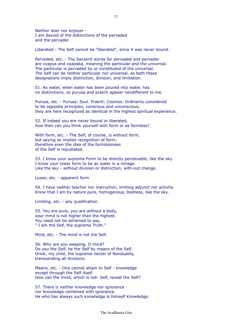Neither doer nor enjoyer - I am devoid of the distinctions of the pervaded and the pervader.

Liberated - The Self cannot be "liberated", since it was never bound.

Pervaded, etc. - The Sanskrit words for pervaded and pervader are vyapya and vyapaka, meaning the particular and the universal. The particular is pervaded by or constituted of the universal. The Self can be neither particular nor universal, as both these designations imply distinction, division, and limitation.

51. As water, when water has been poured into water, has no distinctions, so purusa and prakrti appear nondifferent to me.

Purusa, etc. - Purusa: Soul. Prakrti: Cosmos. Ordinarily considered to be opposite principles, conscious and unconscious, they are here recognized as identical in the highest spiritual experience.

52. If indeed you are never bound or liberated, how then can you think yourself with form or as formless?

With form, etc. - The Self, of course, is without form, but saying so implies recognition of form; therefore even the idea of the formlessness of the Self is repudiated.

53. I know your supreme Form to be directly perceivable, like the sky. I know your lower form to be as water in a mirage. Like the sky - without division or distinction, with-out change.

Lower, etc. - apparent form

54. I have neither teacher nor instruction, limiting adjunct nor activity. Know that I am by nature pure, homogenous, bodiless, like the sky.

Limiting, etc. - any qualification.

55. You are pure, you are without a body, your mind is not higher than the highest. You need not be ashamed to say, " I am the Self, the supreme Truth."

Mind, etc. - The mind is not the Self.

56. Why are you weeping, O mind? Do you the Self, be the Self by means of the Self. Drink, my child, the supreme nectar of Nonduality, transcending all divisions.

Means, etc. - One cannot attain to Self - knowledge except through the Self itself. How can the mind, which is not- Self, reveal the Self?

57. There is neither knowledge nor ignorance nor knowledge combined with ignorance. He who has always such knowledge is himself Knowledge.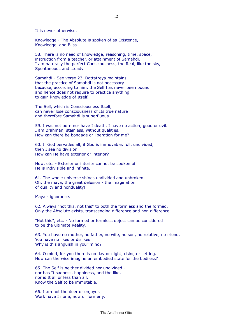It is never otherwise.

Knowledge - The Absolute is spoken of as Existence, Knowledge, and Bliss.

58. There is no need of knowledge, reasoning, time, space, instruction from a teacher, or attainment of Samahdi. I am naturally the perfect Consciousness, the Real, like the sky, Spontaneous and steady.

Samahdi - See verse 23. Dattatreya maintains that the practice of Samahdi is not necessary because, according to him, the Self has never been bound and hence does not require to practice anything to gain knowledge of Itself.

The Self, which is Consciousness Itself, can never lose consciousness of Its true nature and therefore Samahdi is superfluous.

59. I was not born nor have I death. I have no action, good or evil. I am Brahman, stainless, without qualities. How can there be bondage or liberation for me?

60. If God pervades all, if God is immovable, full, undivided, then I see no division. How can He have exterior or interior?

How, etc. - Exterior or interior cannot be spoken of He is indivisible and infinite.

61. The whole universe shines undivided and unbroken. Oh, the maya, the great delusion - the imagination of duality and nonduality!

Maya - ignorance.

62. Always "not this, not this" to both the formless and the formed. Only the Absolute exists, transcending difference and non difference.

"Not this", etc. - No formed or formless object can be considered to be the ultimate Reality.

63. You have no mother, no father, no wife, no son, no relative, no friend. You have no likes or dislikes. Why is this anguish in your mind?

64. O mind, for you there is no day or night, rising or setting. How can the wise imagine an embodied state for the bodiless?

65. The Self is neither divided nor undivided nor has It sadness, happiness, and the like, nor is It all or less than all. Know the Self to be immutable.

66. I am not the doer or enjoyer. Work have I none, now or formerly.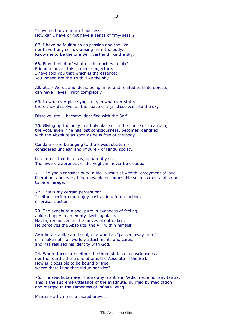I have no body nor am I bodiless. How can I have or not have a sense of "my-ness"?

67. I have no fault such as passion and the like nor have I any sorrow arising from the body. Know me to be the one Self, vast and like the sky.

68. Friend mind, of what use is much vain talk? Friend mind, all this is mere conjecture. I have told you that which is the essence: You indeed are the Truth, like the sky.

All, etc. - Words and ideas, being finite and related to finite objects, can never reveal Truth completely.

69. In whatever place yogis die, in whatever state, there they dissolve, as the space of a jar dissolves into the sky.

Dissolve, etc. - become identified with the Self.

70. Giving up the body in a holy place or in the house of a candala, the yogi, even if he has lost consciousness, becomes identified with the Absolute as soon as he is free of the body.

Candala - one belonging to the lowest stratum considered unclean and impure - of Hindu society.

Lost, etc. - that is to say, apparently so. The inward awareness of the yogi can never be clouded.

71. The yogis consider duty in life, pursuit of wealth, enjoyment of love, liberation, and everything movable or immovable such as man and so on to be a mirage.

72. This is my certain perception: I neither perform nor enjoy past action, future action, or present action.

73. The avadhuta alone, pure in evenness of feeling, abides happy in an empty dwelling place. Having renounced all, he moves about naked. He perceives the Absolute, the All, within himself.

Avadhuta - a liberated soul, one who has "passed away from" or "shaken off" all worldly attachments and cares, and has realized his identity with God.

74. Where there are neither the three states of consciousness nor the fourth, there one attains the Absolute in the Self. How is it possible to be bound or free where there is neither virtue nor vice?

75. The avadhuta never knows any mantra in Vedic metre nor any tantra. This is the supreme utterance of the avadhuta, purified by meditation and merged in the sameness of infinite Being.

Mantra - a hymn or a sacred prayer.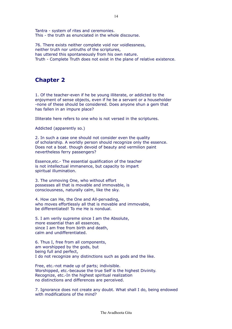Tantra - system of rites and ceremonies. This - the truth as enunciated in the whole discourse.

76. There exists neither complete void nor voidlessness, neither truth nor untruths of the scriptures, has uttered this spontaneously from his own nature. Truth - Complete Truth does not exist in the plane of relative existence.

### **Chapter 2**

1. Of the teacher-even if he be young illiterate, or addicted to the enjoyment of sense objects, even if he be a servant or a householder -none of these should be considered. Does anyone shun a gem that has fallen in an impure place?

Illiterate here refers to one who is not versed in the scriptures.

Addicted (apparently so.)

2. In such a case one should not consider even the quality of scholarship. A worldly person should recognize only the essence. Does not a boat. though devoid of beauty and vermilion paint nevertheless ferry passengers?

Essence,etc.- The essential qualification of the teacher is not intellectual immanence, but capacity to impart spiritual illumination.

3. The unmoving One, who without effort possesses all that is movable and immovable, is consciousness, naturally calm, like the sky.

4. How can He, the One and All-pervading, who moves effortlessly all that is movable and immovable, be differentiated! To me He is nondual.

5. I am verily supreme since I am the Absolute, more essential than all essences, since I am free from birth and death, calm and undifferentiated.

6. Thus I, free from all components, am worshipped by the gods, but being full and perfect, I do not recognize any distinctions such as gods and the like.

Free, etc.-not made up of parts; indivisible. Worshipped, etc.-because the true Self is the highest Divinity. Recognize, etc.-In the highest spiritual realization no distinctions and differences are perceived.

7. Ignorance does not create any doubt. What shall I do, being endowed with modifications of the mind?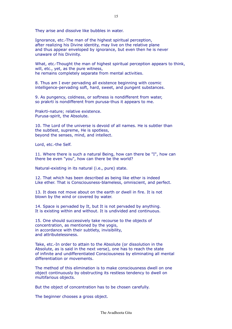They arise and dissolve like bubbles in water.

Ignorance, etc.-The man of the highest spiritual perception, after realizing his Divine identity, may live on the relative plane and thus appear enveloped by ignorance, but even then he is never unaware of his Divinity.

What, etc.-Thought the man of highest spiritual perception appears to think, will, etc., yet, as the pure witness, he remains completely separate from mental activities.

8. Thus am I ever pervading all existence beginning with cosmic intelligence-pervading soft, hard, sweet, and pungent substances.

9. As pungency, coldness, or softness is nondifferent from water, so prakrti is nondifferent from purusa-thus it appears to me.

Prakrti-nature; relative existence. Purusa-spirit, the Absolute.

10. The Lord of the universe is devoid of all names. He is subtler than the subtlest, supreme, He is spotless, beyond the senses, mind, and intellect.

Lord, etc.-the Self.

11. Where there is such a natural Being, how can there be "I", how can there be even "you", how can there be the world?

Natural-existing in its natural (i.e., pure) state.

12. That which has been described as being like ether is indeed Like ether. That is Consciousness-blameless, omniscient, and perfect.

13. It does not move about on the earth or dwell in fire. It is not blown by the wind or covered by water.

14. Space is pervaded by It, but It is not pervaded by anything. It is existing within and without. It is undivided and continuous.

15. One should successively take recourse to the objects of concentration, as mentioned by the yogis, in accordance with their subtlety, invisibility, and attributelessness.

Take, etc.-In order to attain to the Absolute (or dissolution in the Absolute, as is said in the next verse), one has to reach the state of infinite and undifferentiated Consciousness by eliminating all mental differentiation or movements.

The method of this elimination is to make consciousness dwell on one object continuously by obstructing its restless tendency to dwell on multifarious objects.

But the object of concentration has to be chosen carefully.

The beginner chooses a gross object.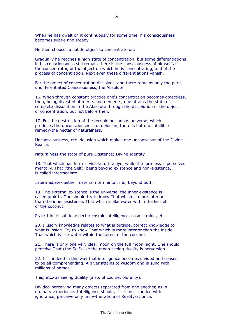When he has dwelt on it continuously for some time, his consciousness becomes subtle and steady.

He then chooses a subtle object to concentrate on.

Gradually he reaches a high state of concentration, but some differentiations in his consciousness still remain-there is the consciousness of himself as the concentrator, of the object on which he is concentrating, and of the process of concentration. Next even these differentiations vanish.

For the object of concentration dissolves, and there remains only the pure, undifferentiated Consciousness, the Absolute.

16. When through constant practice one's concentration becomes objectless, then, being divested of merits and demerits, one attains the state of complete dissolution in the Absolute through the dissolution of the object of concentration, but not before then.

17. For the destruction of the terrible poisonous universe, which produces the unconsciousness of delusion, there is but one infallible remedy-the nectar of naturalness.

Unconsciousness, etc.-delusion which makes one unconscious of the Divine Reality.

Naturalness-the state of pure Existence; Divine Identity.

18. That which has form is visible to the eye, while the formless is perceived mentally. That (the Self), being beyond existence and non-existence, is called intermediate.

Intermediate-neither material nor mental, i.e., beyond both.

19. The external existence is the universe, the inner existence is called prakrti. One should try to know That which is more interior than the inner existence, That which is like water within the kernel of the coconut.

Prakrti-in its subtle aspects: cosmic intelligence, cosmic mind, etc.

20. Illusory knowledge relates to what is outside, correct knowledge to what is inside. Try to know That which is more interior than the inside, That which is like water within the kernel of the coconut.

21. There is only one very clear moon on the full moon night. One should perceive That (the Self) like the moon seeing duality is perversion.

22. It is indeed in this way that intelligence becomes divided and ceases to be all-comprehending. A giver attains to wisdom and is sung with millions of names.

This, etc.-by seeing duality (also, of course, plurality).

Divided-perceiving many objects separated from one another, as in ordinary experience. Intelligence should, if it is not clouded with ignorance, perceive only unity-the whole of Reality-at once.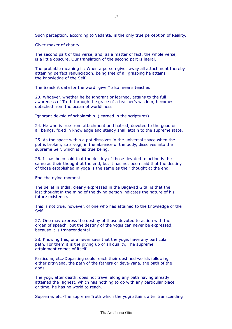Such perception, according to Vedanta, is the only true perception of Reality.

Giver-maker of charity.

The second part of this verse, and, as a matter of fact, the whole verse, is a little obscure. Our translation of the second part is literal.

The probable meaning is: When a person gives away all attachment thereby attaining perfect renunciation, being free of all grasping he attains the knowledge of the Self.

The Sanskrit data for the word "giver" also means teacher.

23. Whoever, whether he be ignorant or learned, attains to the full awareness of Truth through the grace of a teacher's wisdom, becomes detached from the ocean of worldliness.

Ignorant-devoid of scholarship. (learned in the scriptures)

24. He who is free from attachment and hatred, devoted to the good of all beings, fixed in knowledge and steady shall attain to the supreme state.

25. As the space within a pot dissolves in the universal space when the pot is broken, so a yogi, in the absence of the body, dissolves into the supreme Self, which is his true being.

26. It has been said that the destiny of those devoted to action is the same as their thought at the end, but it has not been said that the destiny of those established in yoga is the same as their thought at the end.

End-the dying moment.

The belief in India, clearly expressed in the Bagavad Gita, is that the last thought in the mind of the dying person indicates the nature of his future existence.

This is not true, however, of one who has attained to the knowledge of the Self.

27. One may express the destiny of those devoted to action with the organ of speech, but the destiny of the yogis can never be expressed, because it is transcendental

28. Knowing this, one never says that the yogis have any particular path. For them it is the giving up of all duality, The supreme attainment comes of itself.

Particular, etc.-Departing souls reach their destined worlds following either pitr-yana, the path of the fathers or deva-yana, the path of the gods.

The yogi, after death, does not travel along any path having already attained the Highest, which has nothing to do with any particular place or time, he has no world to reach.

Supreme, etc.-The supreme Truth which the yogi attains after transcending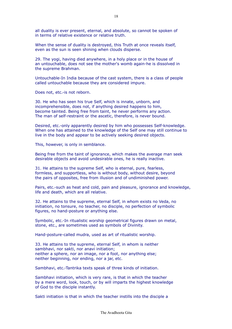all duality is ever present, eternal, and absolute, so cannot be spoken of in terms of relative existence or relative truth.

When the sense of duality is destroyed, this Truth at once reveals itself, even as the sun is seen shining when clouds disperse.

29. The yogi, having died anywhere, in a holy place or in the house of an untouchable, does not see the mother's womb again-he is dissolved in the supreme Brahman.

Untouchable-In India because of the cast system, there is a class of people called untouchable because they are considered impure.

Does not, etc.-is not reborn.

30. He who has seen his true Self, which is innate, unborn, and incomprehensible, does not, if anything desired happens to him, become tainted. Being free from taint, he never performs any action. The man of self-restraint or the ascetic, therefore, is never bound.

Desired, etc.-only apparently desired by him who possesses Self-knowledge. When one has attained to the knowledge of the Self one may still continue to live in the body and appear to be actively seeking desired objects.

This, however, is only in semblance.

Being free from the taint of ignorance, which makes the average man seek desirable objects and avoid undesirable ones, he is really inactive.

31. He attains to the supreme Self, who is eternal, pure, fearless, formless, and supportless, who is without body, without desire, beyond the pairs of opposites, free from illusion and of undiminished power.

Pairs, etc.-such as heat and cold, pain and pleasure, ignorance and knowledge, life and death, which are all relative.

32. He attains to the supreme, eternal Self, in whom exists no Veda, no initiation, no tonsure, no teacher, no disciple, no perfection of symbolic figures, no hand-posture or anything else.

Symbolic, etc.-In ritualistic worship geometrical figures drawn on metal, stone, etc., are sometimes used as symbols of Divinity.

Hand-posture-called mudra, used as art of ritualistic worship.

33. He attains to the supreme, eternal Self, in whom is neither sambhavi, nor sakti, nor anavi initiation; neither a sphere, nor an image, nor a foot, nor anything else; neither beginning, nor ending, nor a jar, etc.

Sambhavi, etc.-Tantrika texts speak of three kinds of initiation.

Sambhavi initiation, which is very rare, is that in which the teacher by a mere word, look, touch, or by will imparts the highest knowledge of God to the disciple instantly.

Sakti initiation is that in which the teacher instills into the disciple a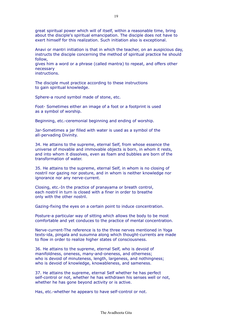great spiritual power which will of itself, within a reasonable time, bring about the disciple's spiritual emancipation. The disciple does not have to exert himself for this realization. Such initiation also is exceptional.

Anavi or mantri initiation is that in which the teacher, on an auspicious day, instructs the disciple concerning the method of spiritual practice he should follow,

gives him a word or a phrase (called mantra) to repeat, and offers other necessary

instructions.

The disciple must practice according to these instructions to gain spiritual knowledge.

Sphere-a round symbol made of stone, etc.

Foot- Sometimes either an image of a foot or a footprint is used as a symbol of worship.

Beginning, etc.-ceremonial beginning and ending of worship.

Jar-Sometimes a jar filled with water is used as a symbol of the all-pervading Divinity.

34. He attains to the supreme, eternal Self, from whose essence the universe of movable and immovable objects is born, in whom it rests, and into whom it dissolves, even as foam and bubbles are born of the transformation of water.

35. He attains to the supreme, eternal Self, in whom is no closing of nostril nor gazing nor posture, and in whom is neither knowledge nor ignorance nor any nerve-current.

Closing, etc.-In the practice of pranayama or breath control, each nostril in turn is closed with a finer in order to breathe only with the other nostril.

Gazing-fixing the eyes on a certain point to induce concentration.

Posture-a particular way of sitting which allows the body to be most comfortable and yet conduces to the practice of mental concentration.

Nerve-current-The reference is to the three nerves mentioned in Yoga texts-ida, pingala and susumna along which thought-currents are made to flow in order to realize higher states of consciousness.

36. He attains to the supreme, eternal Self, who is devoid of manifoldness, oneness, many-and-oneness, and otherness; who is devoid of minuteness, length, largeness, and nothingness; who is devoid of knowledge, knowableness, and sameness.

37. He attains the supreme, eternal Self whether he has perfect self-control or not, whether he has withdrawn his senses well or not, whether he has gone beyond activity or is active.

Has, etc.-whether he appears to have self-control or not.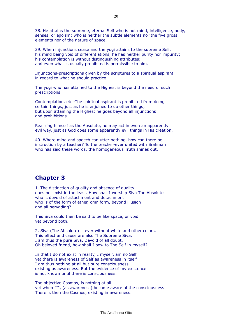38. He attains the supreme, eternal Self who is not mind, intelligence, body, senses, or egoism; who is neither the subtle elements nor the five gross elements nor of the nature of space.

39. When injunctions cease and the yogi attains to the supreme Self, his mind being void of differentiations, he has neither purity nor impurity; his contemplation is without distinguishing attributes: and even what is usually prohibited is permissible to him.

Injunctions-prescriptions given by the scriptures to a spiritual aspirant in regard to what he should practice.

The yogi who has attained to the Highest is beyond the need of such prescriptions.

Contemplation, etc.-The spiritual aspirant is prohibited from doing certain things, just as he is enjoined to do other things; but upon attaining the Highest he goes beyond all injunctions and prohibitions.

Realizing himself as the Absolute, he may act in even an apparently evil way, just as God does some apparently evil things in His creation.

40. Where mind and speech can utter nothing, how can there be instruction by a teacher? To the teacher-ever united with Brahman who has said these words, the homogeneous Truth shines out.

#### **Chapter 3**

1. The distinction of quality and absence of quality does not exist in the least. How shall I worship Siva The Absolute who is devoid of attachment and detachment who is of the form of ether, omniform, beyond illusion and all pervading?

This Siva could then be said to be like space, or void yet beyond both.

2. Siva (The Absolute) is ever without white and other colors. This effect and cause are also The Supreme Siva. I am thus the pure Siva, Devoid of all doubt. Oh beloved friend, how shall I bow to The Self in myself?

In that I do not exist in reality, I myself, am no Self yet there is awareness of Self as awareness in itself I am thus nothing at all but pure consciousness existing as awareness. But the evidence of my existence is not known until there is consciousness.

The objective Cosmos, is nothing at all yet when "I", (as awareness) become aware of the consciousness There is then the Cosmos, existing in awareness.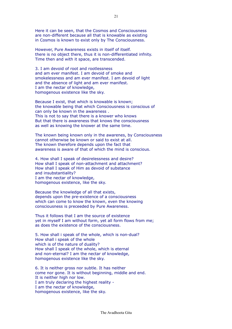Here it can be seen, that the Cosmos and Consciousness are non-different because all that is knowable as existing in Cosmos is known to exist only by The Consciousness.

However, Pure Awareness exists in itself of itself. there is no object there, thus it is non-differentiated infnity. Time then and with it space, are transcended.

3. I am devoid of root and rootlessness and am ever manifest. I am devoid of smoke and smokelessness and am ever manifest. I am devoid of light and the absence of light and am ever manifest. I am the nectar of knowledge, homogenous existence like the sky.

Because I exist, that which is knowable is known; the knowable being that which Consciousness is conscious of can only be known in the awareness . This is not to say that there is a knower who knows But that there is awareness that knows the consciousness as well as knowing the knower at the same time.

The known being known only in the awarenes, by Consciousness cannot otherwise be known or said to exist at all. The known therefore depends upon the fact that awareness is aware of that of which the mind is conscious.

4. How shall I speak of desirelessness and desire? How shall I speak of non-attachment and attachment? How shall I speak of Him as devoid of substance and insubstantiality? I am the nectar of knowledge, homogenous existence, like the sky.

Because the knowledge of all that exists, depends upon the pre-existence of a consciousness which can come to know the known, even the knowing consciousness is preceeded by Pure Awareness.

Thus it follows that I am the source of existence yet in myself I am without form, yet all form flows from me; as does the existence of the consciousness.

5. How shall i speak of the whole, which is non-dual? How shall i speak of the whole which is of the nature of duality? How shall I speak of the whole, which is eternal and non-eternal? I am the nectar of knowledge, homogenous existence like the sky.

6. It is neither gross nor subtle. It has neither come nor gone. It is without beginning, middle and end. It is neither high nor low. I am truly declaring the highest reality - I am the nectar of knowledge, homogenous existence, like the sky.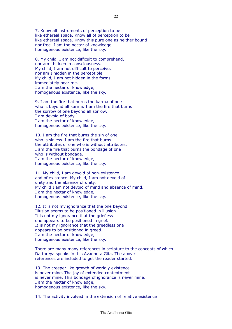7. Know all instruments of perception to be like ethereal space. Know all of perception to be like ethereal space. Know this pure one as neither bound nor free. I am the nectar of knowledge, homogenous existence, like the sky.

8. My child, I am not difficult to comprehend, nor am i hidden in consciousness. My child, I am not difficult to perceive, nor am I hidden in the perceptible. My child, I am not hidden in the forms immediately near me. I am the nectar of knowledge, homogenous existence, like the sky.

9. I am the fire that burns the karma of one who is beyond all karma. I am the fire that burns the sorrow of one beyond all sorrow. I am devoid of body. I am the nectar of knowledge, homogenous existence, like the sky.

10. I am the fire that burns the sin of one who is sinless. I am the fire that burns the attributes of one who is without attributes. I am the fire that burns the bondage of one who is without bondage. I am the nectar of knowledge, homogenous existence, like the sky.

11. My child, I am devoid of non-existence and of existence. My child, I am not devoid of unity and the absence of unity. My child I am not devoid of mind and absence of mind. I am the nectar of knowledge, homogenous existence, like the sky.

12. It is not my ignorance that the one beyond Illusion seems to be positioned in illusion. It is not my ignorance that the griefless one appears to be positioned in grief. It is not my ignorance that the greedless one appears to be positioned in greed. I am the nectar of knowledge, homogenous existence, like the sky.

There are many many references in scripture to the concepts of which Dattareya speaks in this Avadhuta Gita. The above references are included to get the reader started.

13. The creeper like growth of worldly existence is never mine. The joy of extended contentment is never mine. This bondage of ignorance is never mine. I am the nectar of knowledge, homogenous existence, like the sky.

14. The activity involved in the extension of relative existence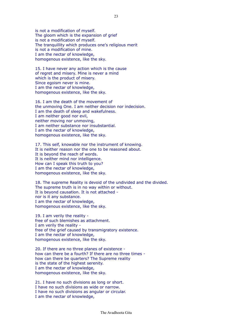is not a modification of myself. The gloom which is the expansion of grief is not a modification of myself. The tranquillity which produces one's religious merit is not a modification of mine. I am the nectar of knowledge, homogenous existence, like the sky.

15. I have never any action which is the cause of regret and misery. Mine is never a mind which is the product of misery. Since egoism never is mine. I am the nectar of knowledge, homogenous existence, like the sky.

16. I am the death of the movement of the unmoving One. I am neither decision nor indecision. I am the death of sleep and wakefulness. I am neither good nor evil, neither moving nor unmoving, I am neither substance nor insubstantial. I am the nectar of knowledge, homogenous existence, like the sky.

17. This self, knowable nor the instrument of knowing. It is neither reason nor the one to be reasoned about. It is beyond the reach of words. It is neither mind nor intelligence. How can I speak this truth to you? I am the nectar of knowledge, homogenous existence, like the sky.

18. The supreme Reality is devoid of the undivided and the divided. The supreme truth is in no way within or without. It is beyond causation. It is not attached nor is it any substance. I am the nectar of knowledge, homogenous existence, like the sky.

19. I am verily the reality free of such blemishes as attachment. I am verily the reality free of the grief caused by transmigratory existence. I am the nectar of knowledge, homogenous existence, like the sky.

20. If there are no three planes of existence how can there be a fourth? If there are no three times how can there be quarters? The Supreme reality is the state of the highest serenity. I am the nectar of knowledge, homogenous existence, like the sky.

21. I have no such divisions as long or short. I have no such divisions as wide or narrow. I have no such divisions as angular or circular. I am the nectar of knowledge,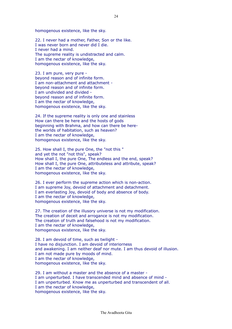homogenous existence, like the sky.

22. I never had a mother, Father, Son or the like. I was never born and never did I die. I never had a mind. The supreme reality is undistracted and calm. I am the nectar of knowledge, homogenous existence, like the sky.

23. I am pure, very pure beyond reason and of infinite form. I am non-attachment and attachment beyond reason and of infinite form. I am undivided and divided beyond reason and of infinite form. I am the nectar of knowledge, homogenous existence, like the sky.

24. If the supreme reality is only one and stainless How can there be here and the hosts of gods beginning with Brahma, and how can there be herethe worlds of habitation, such as heaven? I am the nectar of knowledge, homogenous existence, like the sky.

25. How shall I, the pure One, the "not this " and yet the not "not this", speak? How shall I, the pure One, The endless and the end, speak? How shall I, the pure One, attributeless and attribute, speak? I am the nectar of knowledge, homogenous existence, like the sky.

26. I ever perform the supreme action which is non-action. I am supreme Joy, devoid of attachment and detachment. I am everlasting Joy, devoid of body and absence of body. I am the nectar of knowledge, homogenous existence, like the sky.

27. The creation of the illusory universe is not my modification. The creation of deceit and arrogance is not my modification. The creation of truth and falsehood is not my modification. I am the nectar of knowledge, homogenous existence, like the sky.

28. I am devoid of time, such as twilight - I have no disjunction. I am devoid of interiorness and awakening. I am neither deaf nor mute. I am thus devoid of illusion. I am not made pure by moods of mind. I am the nectar of knowledge, homogenous existence, like the sky.

29. I am without a master and the absence of a master - I am unperturbed. I have transcended mind and absence of mind - I am unperturbed. Know me as unperturbed and transcendent of all. I am the nectar of knowledge, homogenous existence, like the sky.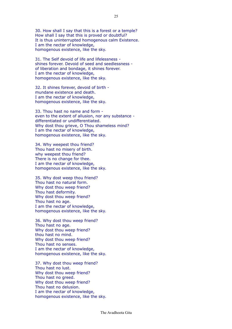30. How shall I say that this is a forest or a temple? How shall I say that this is proved or doubtful? It is thus uninterrupted homogenous calm Existence. I am the nectar of knowledge, homogenous existence, like the sky.

31. The Self devoid of life and lifelessness shines forever. Devoid of seed and seedlessness of liberation and bondage, it shines forever. I am the nectar of knowledge, homogenous existence, like the sky.

32. It shines forever, devoid of birth mundane existence and death. I am the nectar of knowledge, homogenous existence, like the sky.

33. Thou hast no name and form even to the extent of allusion, nor any substance differentiated or undifferentiated. Why dost thou grieve, O Thou shameless mind? I am the nectar of knowledge, homogenous existence, like the sky.

34. Why weepest thou friend? Thou hast no misery of birth. why weepest thou friend? There is no change for thee. I am the nectar of knowledge, homogenous existence, like the sky.

35. Why dost weep thou friend? Thou hast no natural form. Why dost thou weep friend? Thou hast deformity. Why dost thou weep friend? Thou hast no age. I am the nectar of knowledge, homogenous existence, like the sky.

36. Why dost thou weep friend? Thou hast no age. Why dost thou weep friend? thou hast no mind. Why dost thou weep friend? Thou hast no senses. I am the nectar of knowledge, homogenous existence, like the sky.

37. Why dost thou weep friend? Thou hast no lust. Why dost thou weep friend? Thou hast no greed. Why dost thou weep friend? Thou hast no delusion. I am the nectar of knowledge, homogenous existence, like the sky.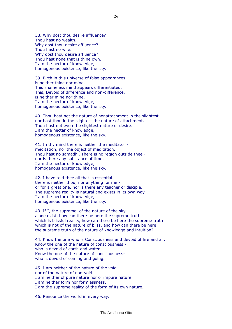38. Why dost thou desire affluence? Thou hast no wealth. Why dost thou desire affluence? Thou hast no wife. Why dost thou desire affluence? Thou hast none that is thine own. I am the nectar of knowledge, homogenous existence, like the sky.

39. Birth in this universe of false appearances is neither thine nor mine. This shameless mind appears differentiated. This, Devoid of difference and non-difference, is neither mine nor thine. I am the nectar of knowledge, homogenous existence, like the sky.

40. Thou hast not the nature of nonattachment in the slightest nor hast thou in the slightest the nature of attachment. Thou hast not even the slightest nature of desire. I am the nectar of knowledge, homogenous existence, like the sky.

41. In thy mind there is neither the meditator meditation, nor the object of meditation. Thou hast no samadhi. There is no region outside thee nor is there any substance of time. I am the nectar of knowledge, homogenous existence, like the sky.

42. I have told thee all that is essential. there is neither thou, nor anything for me or for a great one. nor is there any teacher or disciple. The supreme reality is natural and exists in its own way. I am the nectar of knowledge, homogenous existence, like the sky.

43. If I, the supreme, of the nature of the sky, alone exist, how can there be here the supreme truth which is blissful reality, how can there be here the supreme truth which is not of the nature of bliss, and how can there be here the supreme truth of the nature of knowledge and intuition?

44. Know the one who is Consciousness and devoid of fire and air. Know the one of the nature of consciousness who is devoid of earth and water. Know the one of the nature of consciousnesswho is devoid of coming and going.

45. I am neither of the nature of the void nor of the nature of non-void. I am neither of pure nature nor of impure nature. I am neither form nor formlessness. I am the supreme reality of the form of its own nature.

46. Renounce the world in every way.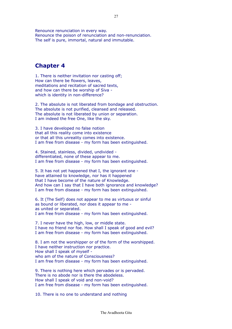Renounce renunciation in every way. Renounce the poison of renunciation and non-renunciation. The self is pure, immortal, natural and immutable.

### **Chapter 4**

1. There is neither invitation nor casting off; How can there be flowers, leaves, meditations and recitation of sacred texts, and how can there be worship of Siva which is identity in non-difference?

2. The absolute is not liberated from bondage and obstruction. The absolute is not purified, cleansed and released. The absolute is not liberated by union or separation. I am indeed the free One, like the sky.

3. I have developed no false notion that all this reality come into existence or that all this unreality comes into existence. I am free from disease - my form has been extinguished.

4. Stained, stainless, divided, undivided differentiated, none of these appear to me. I am free from disease - my form has been extinguished.

5. It has not yet happened that I, the ignorant one have attained to knowledge, nor has it happened that I have become of the nature of Knowledge. And how can I say that I have both ignorance and knowledge? I am free from disease - my form has been extinguished.

6. It (The Self) does not appear to me as virtuous or sinful as bound or liberated, nor does it appear to me as united or separated. I am free from disease - my form has been extinguished.

7. I never have the high, low, or middle state. I have no friend nor foe. How shall I speak of good and evil? I am free from disease - my form has been extinguished.

8. I am not the worshipper or of the form of the worshipped. I have neither instruction nor practice. How shall I speak of myself who am of the nature of Consciousness? I am free from disease - my form has been extinguished.

9. There is nothing here which pervades or is pervaded. There is no abode nor is there the abodeless. How shall I speak of void and non-void? I am free from disease - my form has been extinguished.

10. There is no one to understand and nothing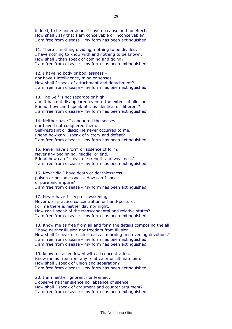indeed, to be understood. I have no cause and no effect. How shall I say that I am conceivable or inconceivable? I am free from disease - my form has been extinguished.

11. There is nothing dividing, nothing to be divided. I have nothing to know with and nothing to be known. How shall I then speak of coming and going? I am free from disease - my form has been extinguished.

12. I have no body or bodilessness nor have I intelligence, mind or senses. How shall I speak of attachment and detachment? I am free from disease - my form has been extinguished.

13. The Self is not separate or high and it has not disappeared even to the extent of allusion. Friend, how can I speak of it as identical or different? I am free from disease - my form has been extinguished.

14. Neither have I conquered the senses nor have i not conquered them. Self-restraint or discipline never occurred to me. Friend how can I speak of victory and defeat? I am free from disease - my form has been extinguished.

15. Never have I form or absence of form, Never any beginning, middle, or end. Friend how can I speak of strength and weakness? I am free from disease - my form has been extinguished.

16. Never did I have death or deathlessness poison or poisonlessness. How can I speak of pure and impure? I am free from disease - my form has been extinguished.

17. Never have I sleep or awakening. Never do I practice concentration or hand-posture. For me there is neither day nor night. How can i speak of the transcendental and relative states? I am free from disease - my form has been extinguished.

18. Know me as free from all and form the details composing the all. I have neither illusion nor freedom from illusion. How shall I speak of such rituals as morning and evening devotions? I am free from disease - my form has been extinguished. I am free from disease - my form has been extinguished.

19. know me as endowed with all concentration. Know me as free from any relative or or ultimate aim. How shall I speak of union and separation? I am free from disease - my form has been extinguished.

20. I am neither ignorant nor learned. I observe neither silence nor absence of silence. How shall I speak of argument and counter argument? I am free from disease - my form has been extinguished.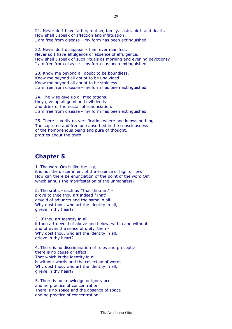21. Never do I have father, mother, family, caste, birth and death. How shall I speak of affection and infatuation? I am free from disease - my form has been extinguished.

22. Never do I disappear - I am ever manifest. Never so I have effulgence or absence of effulgence. How shall I speak of such rituals as morning and evening devotions? I am free from disease - my form has been extinguished.

23. Know me beyond all doubt to be boundless. Know me beyond all doubt to be undivided. Know me beyond all doubt to be stainless. I am free from disease - my form has been extinguished.

24. The wise give up all meditations; they give up all good and evil deeds and drink of the nectar of renunciation. I am free from disease - my form has been extinguished.

25. There is verily no versification where one knows nothing. The supreme and free one absorbed in the consciousness of the homogenous being and pure of thought, prattles about the truth.

## **Chapter 5**

1. The word Om is like the sky, it is not the discernment of the essence of high or low. How can there be enunciation of the point of the word Om which annuls the manifestation of the unmanifest?

2. The srutis - such as "That thou art" prove to thee thou art indeed "That" devoid of adjuncts and the same in all. Why dost thou, who art the identity in all, grieve in thy heart?

3. If thou art identity in all, if thou art devoid of above and below, within and without and of even the sense of unity, then - Why dost thou, who art the identity in all, grieve in thy heart?

4. There is no discrimination of rules and preceptsthere is no cause or effect. That which is the identity in all is without words and the collection of words. Why dost thou, who art the identity in all, grieve in thy heart?

5. There is no knowledge or ignorance and no practice of concentration. There is no space and the absence of space and no practice of concentration.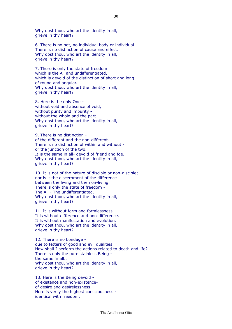Why dost thou, who art the identity in all, grieve in thy heart?

6. There is no pot, no individual body or individual. There is no distinction of cause and effect. Why dost thou, who art the identity in all, grieve in thy heart?

7. There is only the state of freedom which is the All and undifferentiated, which is devoid of the distinction of short and long of round and angular. Why dost thou, who art the identity in all, grieve in thy heart?

8. Here is the only One without void and absence of void, without purity and impurity without the whole and the part. Why dost thou, who art the identity in all, grieve in thy heart?

9. There is no distinction of the different and the non-different. There is no distinction of within and without or the junction of the two. It is the same in all- devoid of friend and foe. Why dost thou, who art the identity in all, grieve in thy heart?

10. It is not of the nature of disciple or non-disciple; nor is it the discernment of the difference between the living and the non-living. There is only the state of freedom - The All - The undifferentiated. Why dost thou, who art the identity in all, grieve in thy heart?

11. It is without form and formlessness. It is without difference and non-difference. It is without manifestation and evolution. Why dost thou, who art the identity in all, grieve in thy heart?

12. There is no bondage due to fetters of good and evil qualities. How shall I perform the actions related to death and life? There is only the pure stainless Being the same in all.. Why dost thou, who art the identity in all, grieve in thy heart?

13. Here is the Being devoid of existence and non-existenceof desire and desirelessness. Here is verily the highest consciousness identical with freedom.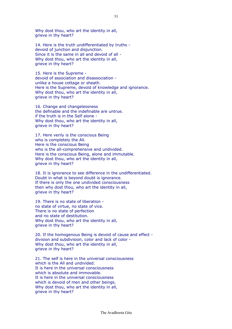Why dost thou, who art the identity in all, grieve in thy heart?

14. Here is the truth undifferentiated by truths devoid of junction and disjunction. Since it is the same in all and devoid of all - Why dost thou, who art the identity in all, grieve in thy heart?

15. Here is the Supreme devoid of association and disassociation unlike a house cottage or sheath. Here is the Supreme, devoid of knowledge and ignorance. Why dost thou, who art the identity in all, grieve in thy heart?

16. Change and changelessness the definable and the indefinable are untrue. if the truth is in the Self alone - Why dost thou, who art the identity in all, grieve in thy heart?

17. Here verily is the conscious Being who is completely the All. Here is the conscious Being who is the all-comprehensive and undivided. Here is the conscious Being, alone and immutable. Why dost thou, who art the identity in all, grieve in thy heart?

18. It is ignorance to see difference in the undifferentiated. Doubt in what is beyond doubt is ignorance. If there is only the one undivided consciousness then why dost thou, who art the identity in all, grieve in thy heart?

19. There is no state of liberation no state of virtue, no state of vice. There is no state of perfection and no state of destitution. Why dost thou, who art the identity in all, grieve in thy heart?

20. If the homogenous Being is devoid of cause and effect division and subdivision, color and lack of color - Why dost thou, who art the identity in all, grieve in thy heart?

21. The self is here in the universal consciousness which is the All and undivided. It is here in the universal consciousness which is absolute and immovable. It is here in the universal consciousness which is devoid of men and other beings. Why dost thou, who art the identity in all, grieve in thy heart?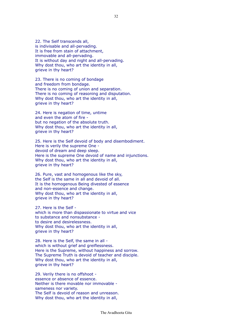22. The Self transcends all, is indivisable and all-pervading. It is free from stain of attachment, immovable and all-pervading. It is without day and night and all-pervading. Why dost thou, who art the identity in all, grieve in thy heart?

23. There is no coming of bondage and freedom from bondage. There is no coming of union and separation. There is no coming of reasoning and disputation. Why dost thou, who art the identity in all, grieve in thy heart?

24. Here is negation of time, untime and even the atom of fire but no negation of the absolute truth. Why dost thou, who art the identity in all, grieve in thy heart?

25. Here is the Self devoid of body and disembodiment. Here is verily the supreme One devoid of dream and deep sleep. Here is the supreme One devoid of name and injunctions. Why dost thou, who art the identity in all, grieve in thy heart?

26. Pure, vast and homogenous like the sky, the Self is the same in all and devoid of all. It is the homogenous Being divested of essence and non-essence and change. Why dost thou, who art the identity in all, grieve in thy heart?

27. Here is the Self which is more than dispassionate to virtue and vice to substance and nonsubstance to desire and desirelessness. Why dost thou, who art the identity in all, grieve in thy heart?

28. Here is the Self, the same in all which is without grief and greiflessness. Here is the Supreme, without happiness and sorrow. The Supreme Truth is devoid of teacher and disciple. Why dost thou, who art the identity in all, grieve in thy heart?

29. Verily there is no offshoot essence or absence of essence. Neither is there movable nor immovable sameness nor variety. The Self is devoid of reason and unreason. Why dost thou, who art the identity in all,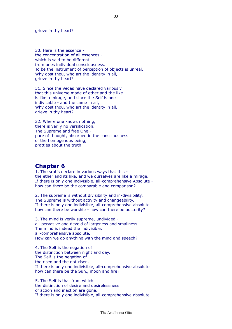grieve in thy heart?

30. Here is the essence the concentration of all essences which is said to be different from ones individual consciousness. To be the instrument of perception of objects is unreal. Why dost thou, who art the identity in all, grieve in thy heart?

31. Since the Vedas have declared variously that this universe made of ether and the like is like a mirage, and since the Self is one indivisable - and the same in all, Why dost thou, who art the identity in all, grieve in thy heart?

32. Where one knows nothing, there is verily no versification. The Supreme and free One pure of thought, absorbed in the consciousness of the homogenous being, prattles about the truth.

#### **Chapter 6**

1. The srutis declare in various ways that this the ether and its like, and we ourselves are like a mirage. If there is only one indivisible, all-comprehensive Absolute how can there be the comparable and comparison?

2. The supreme is without divisibility and in-divisibility. The Supreme is without activity and changeability. If there is only one indivisible, all-comprehensive absolute how can there be worship - how can there be austerity?

3. The mind is verily supreme, undivided all-pervasive and devoid of largeness and smallness. The mind is indeed the indivisible, all-comprehensive absolute. How can we do anything with the mind and speech?

4. The Self is the negation of the distinction between night and day. The Self is the negation of the risen and the not-risen. If there is only one indivisible, all-comprehensive absolute how can there be the Sun., moon and fire?

5. The Self is that from which the distinction of desire and desirelessness of action and inaction are gone. If there is only one indivisible, all-comprehensive absolute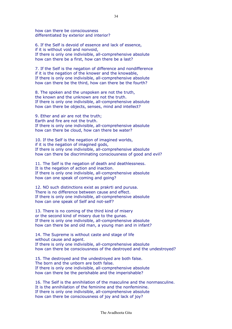how can there be consciousness differentiated by exterior and interior?

6. If the Self is devoid of essence and lack of essence, if it is without void and nonvoid, If there is only one indivisible, all-comprehensive absolute how can there be a first, how can there be a last?

7. If the Self is the negation of difference and nondifference if it is the negation of the knower and the knowable, If there is only one indivisible, all-comprehensive absolute how can there be the third, how can there be the fourth?

8. The spoken and the unspoken are not the truth, the known and the unknown are not the truth. If there is only one indivisible, all-comprehensive absolute how can there be objects, senses, mind and intellect?

9. Ether and air are not the truth; Earth and fire are not the truth. If there is only one indivisible, all-comprehensive absolute how can there be cloud, how can there be water?

10. If the Self is the negation of imagined worlds, if it is the negation of imagined gods, If there is only one indivisible, all-comprehensive absolute how can there be discriminating consciousness of good and evil?

11. The Self is the negation of death and deathlessness. It is the negation of action and inaction. If there is only one indivisible, all-comprehensive absolute how can one speak of coming and going?

12. NO such distinctions exist as prakrti and purusa. There is no difference between cause and effect. If there is only one indivisible, all-comprehensive absolute how can one speak of Self and not-self?

13. There is no coming of the third kind of misery or the second kind of misery due to the gunas. If there is only one indivisible, all-comprehensive absolute how can there be and old man, a young man and in infant?

14. The Supreme is without caste and stage of life without cause and agent. If there is only one indivisible, all-comprehensive absolute how can there be consciousness of the destroyed and the undestroyed?

15. The destroyed and the undestroyed are both false. The born and the unborn are both false. If there is only one indivisible, all-comprehensive absolute how can there be the perishable and the imperishable?

16. The Self is the annihilation of the masculine and the nonmasculine. It is the annihilation of the feminine and the nonfeminine. If there is only one indivisible, all-comprehensive absolute how can there be consciousness of joy and lack of joy?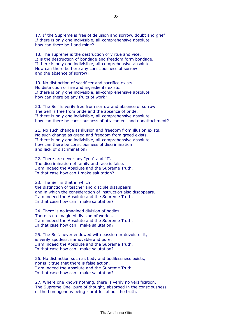17. If the Supreme is free of delusion and sorrow, doubt and grief If there is only one indivisible, all-comprehensive absolute how can there be I and mine?

18. The supreme is the destruction of virtue and vice. It is the destruction of bondage and freedom form bondage. If there is only one indivisible, all-comprehensive absolute How can there be here any consciousness of sorrow and the absence of sorrow?

19. No distinction of sacrificer and sacrifice exists. No distinction of fire and ingredients exists. If there is only one indivisible, all-comprehensive absolute how can there be any fruits of work?

20. The Self is verily free from sorrow and absence of sorrow. The Self is free from pride and the absence of pride. If there is only one indivisible, all-comprehensive absolute how can there be consciousness of attachment and nonattachment?

21. No such change as illusion and freedom from illusion exists. No such change as greed and freedom from greed exists. If there is only one indivisible, all-comprehensive absolute how can there be consciousness of discrimination and lack of discrimination?

22. There are never any "you" and "I". The discrimination of family and race is false. I am indeed the Absolute and the Supreme Truth. In that case how can I make salutation?

23. The Self is that in which

the distinction of teacher and disciple disappears and in which the consideration of instruction also disappears. I am indeed the Absolute and the Supreme Truth. In that case how can i make salutation?

24. There is no imagined division of bodies. There is no imagined division of worlds. I am indeed the Absolute and the Supreme Truth. In that case how can i make salutation?

25. The Self, never endowed with passion or devoid of it, is verily spotless, immovable and pure. I am indeed the Absolute and the Supreme Truth. In that case how can i make salutation?

26. No distinction such as body and bodilessness exists, nor is it true that there is false action. I am indeed the Absolute and the Supreme Truth. In that case how can i make salutation?

27. Where one knows nothing, there is verily no versification. The Supreme One, pure of thought, absorbed in the consciousness of the homogenous being - prattles about the truth.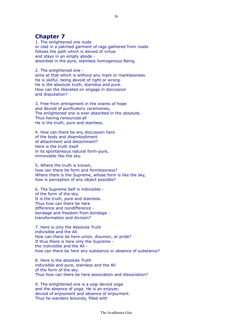### **Chapter 7**

1. The enlightened one nude or clad in a patched garment of rags gathered from roads follows the path which is devoid of virtue and stays in an empty abode absorbed in the pure, stainless homogenous Being.

2. The enlightened one aims at that which is without any mark or marklessness. He is skilful, being devoid of right or wrong. He is the absolute truth, stainless and pure. How can the liberated on engage in discussion and disputation?

3. Free from entrapment in the snares of hope and devoid of purificatory ceremonies, The enlightened one is ever absorbed in the absolute. Thus having renounced all He is the truth, pure and stainless.

4. How can there be any discussion here of the body and disembodiment of attachment and detachment? Here is the truth itself in its spontaneous natural form-pure, immovable like the sky.

5. Where the truth is known, how can there be form and formlessness? Where there is the Supreme, whose form is like the sky, how is perception of any object possible?

6. The Supreme Self is indivisible of the form of the sky. It is the truth, pure and stainless. Thus how can there be here difference and nondifference bondage and freedom from bondage transformation and division?

7. Here is only the Absolute Truth indivisible and the All. How can there be here union, disunion, or pride? If thus there is here only the Supreme the indivisible and the All how can there be here any substance or absence of substance?

8. Here is the absolute Truth indivisible and pure, stainless and the All of the form of the sky. Thus how can there be here association and dissociation?

9. The enlightened one is a yogi devoid yoga and the absence of yoga. He is an enjoyer, devoid of enjoyment and absence of enjoyment. Thus he wanders leisurely, filled with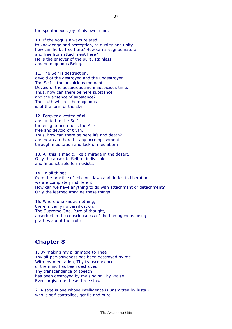the spontaneous joy of his own mind.

10. If the yogi is always related to knowledge and perception, to duality and unity how can he be free here? How can a yogi be natural and free from attachment here? He is the enjoyer of the pure, stainless and homogenous Being.

11. The Self is destruction, devoid of the destroyed and the undestroyed. The Self is the auspicious moment, Devoid of the auspicious and inauspicious time. Thus, how can there be here substance and the absence of substance? The truth which is homogenous is of the form of the sky.

12. Forever divested of all and united to the Self the enlightened one is the All free and devoid of truth. Thus, how can there be here life and death? and how can there be any accomplishment through meditation and lack of mediation?

13. All this is magic, like a mirage in the desert. Only the absolute Self, of indivisible and impenetrable form exists.

14. To all things from the practice of religious laws and duties to liberation, we are completely indifferent. How can we have anything to do with attachment or detachment? Only the learned imagine these things.

15. Where one knows nothing, there is verily no versification. The Supreme One, Pure of thought, absorbed in the consciousness of the homogenous being prattles about the truth.

### **Chapter 8**

1. By making my pilgrimage to Thee Thy all-pervasiveness has been destroyed by me. With my meditation, Thy transcendence of the mind has been destroyed. Thy transcendence of speech has been destroyed by my singing Thy Praise. Ever forgive me these three sins.

2. A sage is one whose intelligence is unsmitten by lusts who is self-controlled, gentle and pure -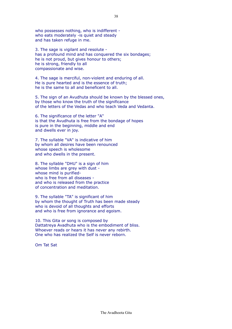who possesses nothing, who is indifferent who eats moderately -is quiet and steady and has taken refuge in me.

3. The sage is vigilant and resolute has a profound mind and has conquered the six bondages; he is not proud, but gives honour to others; he is strong, friendly to all compassionate and wise.

4. The sage is merciful, non-violent and enduring of all. He is pure hearted and is the essence of truth; he is the same to all and beneficent to all.

5. The sign of an Avudhuta should be known by the blessed ones, by those who know the truth of the significance of the letters of the Vedas and who teach Veda and Vedanta.

6. The significance of the letter "A" is that the Avudhuta is free from the bondage of hopes is pure in the beginning, middle and end and dwells ever in joy.

7. The syllable "VA" is indicative of him by whom all desires have been renounced whose speech is wholesome and who dwells in the present.

8. The syllable "DHU" is a sign of him whose limbs are grey with dust whose mind is purifiedwho is free from all diseases and who is released from the practice of concentration and meditation.

9. The syllable "TA" is significant of him by whom the thought of Truth has been made steady who is devoid of all thoughts and efforts and who is free from ignorance and egoism.

10. This Gita or song is composed by Dattatreya Avadhuta who is the embodiment of bliss. Whoever reads or hears it has never any rebirth. One who has realized the Self is never reborn.

Om Tat Sat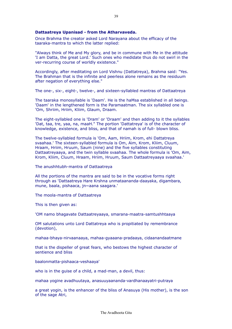#### **Dattaatreya Upanisad - from the Atharvaveda.**

Once Brahma the creator asked Lord Narayana about the efficacy of the taaraka-mantra to which the latter replied:

"Always think of Me and My glory, and be in commune with Me in the attitude 'I am Datta, the great Lord.' Such ones who medidate thus do not swirl in the ver-recurring course of worldly existence."

Accordingly, after meditating on Lord Vishnu (Dattatreya), Brahma said: "Yes. The Brahman that is the infinite and peerless alone remains as the residuum after negation of everything else."

The one-, six-, eight-, twelve-, and sixteen-syllabled mantras of Dattaatreya

The taaraka monosyllable is 'Daam'. He is the haMsa established in all beings. 'Daam' in the lengthened form is the Paramaatman. The six syllabled one is 'Om, Shriim, Hriim, Kliim, Glaum, Draam.

The eight-syllabled one is 'Dram' or 'Draam' and then adding to it the syllables 'Dat, taa, tre, yaa, na, maaH." The portion 'Dattatreya' is of the character of knowledge, existence, and bliss, and that of namah is of full- blown bliss.

The twelve-syllabled formula is 'Om, Aam, Hriim, Krom, ehi Dattatreya svaahaa.' The sixteen-syllabled formula is Om, Aim, Krom, Kliim, Cluum, Hraam, Hriim, Hruum, Saum (nine) and the five syllables constituting Dattaatreyaaya, and the twin syllable svaahaa. The whole formula is 'Om, Aim, Krom, Kliim, Cluum, Hraam, Hriim, Hruum, Saum Dattaatreyaaya svaahaa.'

The anushhtubh-mantra of Dattaatreya

All the portions of the mantra are said to be in the vocative forms right through as 'Dattaatreya Hare Krshna unmataananda-daayaka, digambara, mune, baala, pishaaca, jn~aana saagara.'

The moola-mantra of Dattaatreya

This is then given as:

'OM namo bhagavate Dattaatreyaaya, smarana-maatra-samtushhtaaya

OM salutations unto Lord Dattatreya who is propitiated by remembrance (devotion),

mahaa-bhaya-nirvaanaaya, mahaa-gyaaana-pradaaya, cidaanandaatmane

that is the dispeller of great fears, who bestows the highest character of sentience and bliss

baalonmatta-pishaaca-veshaaya'

who is in the guise of a child, a mad-man, a devil, thus:

mahaa yogine avadhuutaya, anasuuyaananda-vardhanaayatri-putraya

a great yogin, is the enhancer of the bliss of Anasuya (His mother), is the son of the sage Atri,